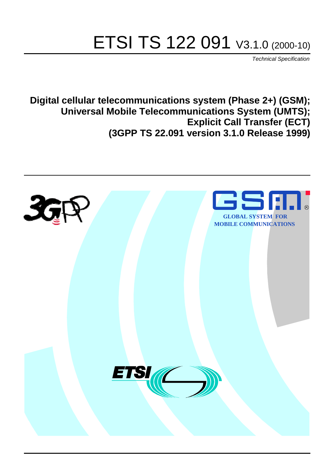# ETSI TS 122 091 V3.1.0 (2000-10)

Technical Specification

**Digital cellular telecommunications system (Phase 2+) (GSM); Universal Mobile Telecommunications System (UMTS); Explicit Call Transfer (ECT) (3GPP TS 22.091 version 3.1.0 Release 1999)**

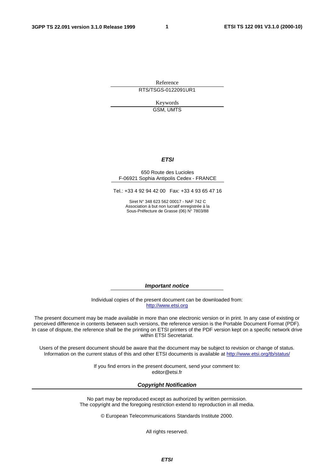**1**

Reference RTS/TSGS-0122091UR1

> Keywords GSM, UMTS

#### **ETSI**

#### 650 Route des Lucioles F-06921 Sophia Antipolis Cedex - FRANCE

Tel.: +33 4 92 94 42 00 Fax: +33 4 93 65 47 16

Siret N° 348 623 562 00017 - NAF 742 C Association à but non lucratif enregistrée à la Sous-Préfecture de Grasse (06) N° 7803/88

**Important notice**

Individual copies of the present document can be downloaded from: [http://www.etsi.org](http://www.etsi.org/)

The present document may be made available in more than one electronic version or in print. In any case of existing or perceived difference in contents between such versions, the reference version is the Portable Document Format (PDF). In case of dispute, the reference shall be the printing on ETSI printers of the PDF version kept on a specific network drive within ETSI Secretariat.

Users of the present document should be aware that the document may be subject to revision or change of status. Information on the current status of this and other ETSI documents is available at [http://www.etsi.org/tb/status/](http://www.etsi.org/tb/status)

> If you find errors in the present document, send your comment to: <editor@etsi.fr>

#### **Copyright Notification**

No part may be reproduced except as authorized by written permission. The copyright and the foregoing restriction extend to reproduction in all media.

© European Telecommunications Standards Institute 2000.

All rights reserved.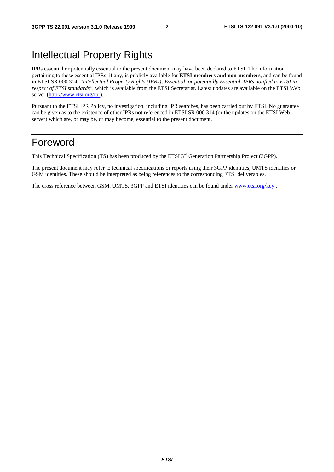## Intellectual Property Rights

IPRs essential or potentially essential to the present document may have been declared to ETSI. The information pertaining to these essential IPRs, if any, is publicly available for **ETSI members and non-members**, and can be found in ETSI SR 000 314: *"Intellectual Property Rights (IPRs); Essential, or potentially Essential, IPRs notified to ETSI in respect of ETSI standards"*, which is available from the ETSI Secretariat. Latest updates are available on the ETSI Web server (<http://www.etsi.org/ipr>).

Pursuant to the ETSI IPR Policy, no investigation, including IPR searches, has been carried out by ETSI. No guarantee can be given as to the existence of other IPRs not referenced in ETSI SR 000 314 (or the updates on the ETSI Web server) which are, or may be, or may become, essential to the present document.

#### Foreword

This Technical Specification (TS) has been produced by the ETSI 3<sup>rd</sup> Generation Partnership Project (3GPP).

The present document may refer to technical specifications or reports using their 3GPP identities, UMTS identities or GSM identities. These should be interpreted as being references to the corresponding ETSI deliverables.

The cross reference between GSM, UMTS, 3GPP and ETSI identities can be found under [www.etsi.org/key](http://www.etsi.org/key).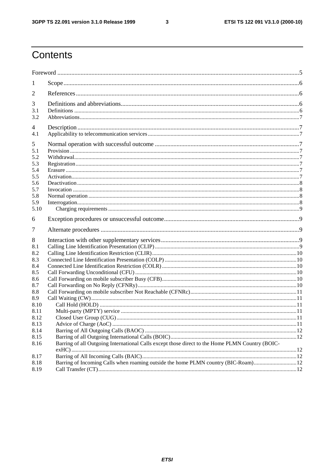$\overline{\mathbf{3}}$ 

## Contents

| 1          |                                                                                                 |  |
|------------|-------------------------------------------------------------------------------------------------|--|
| 2          |                                                                                                 |  |
| 3          |                                                                                                 |  |
| 3.1        |                                                                                                 |  |
| 3.2        |                                                                                                 |  |
| 4          |                                                                                                 |  |
| 4.1        |                                                                                                 |  |
| 5          |                                                                                                 |  |
| 5.1        |                                                                                                 |  |
| 5.2        |                                                                                                 |  |
| 5.3        |                                                                                                 |  |
| 5.4        |                                                                                                 |  |
| 5.5<br>5.6 |                                                                                                 |  |
| 5.7        |                                                                                                 |  |
| 5.8        |                                                                                                 |  |
| 5.9        |                                                                                                 |  |
| 5.10       |                                                                                                 |  |
| 6          |                                                                                                 |  |
| 7          |                                                                                                 |  |
| 8          |                                                                                                 |  |
| 8.1        |                                                                                                 |  |
| 8.2        |                                                                                                 |  |
| 8.3        |                                                                                                 |  |
| 8.4        |                                                                                                 |  |
| 8.5        |                                                                                                 |  |
| 8.6<br>8.7 |                                                                                                 |  |
| 8.8        |                                                                                                 |  |
| 8.9        |                                                                                                 |  |
| 8.10       |                                                                                                 |  |
| 8.11       |                                                                                                 |  |
| 8.12       |                                                                                                 |  |
| 8.13       |                                                                                                 |  |
| 8.14       |                                                                                                 |  |
| 8.15       |                                                                                                 |  |
| 8.16       | Barring of all Outgoing International Calls except those direct to the Home PLMN Country (BOIC- |  |
| 8.17       |                                                                                                 |  |
| 8.18       |                                                                                                 |  |
| 8.19       |                                                                                                 |  |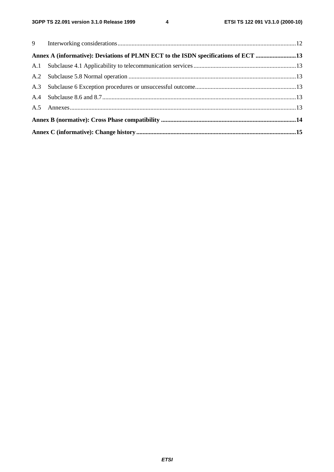| Annex A (informative): Deviations of PLMN ECT to the ISDN specifications of ECT 13 |  |  |  |  |  |
|------------------------------------------------------------------------------------|--|--|--|--|--|
|                                                                                    |  |  |  |  |  |
|                                                                                    |  |  |  |  |  |
|                                                                                    |  |  |  |  |  |
|                                                                                    |  |  |  |  |  |
|                                                                                    |  |  |  |  |  |
|                                                                                    |  |  |  |  |  |
|                                                                                    |  |  |  |  |  |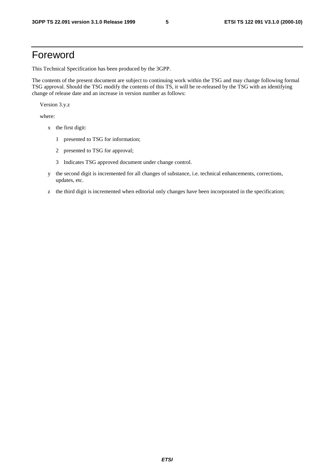#### Foreword

This Technical Specification has been produced by the 3GPP.

The contents of the present document are subject to continuing work within the TSG and may change following formal TSG approval. Should the TSG modify the contents of this TS, it will be re-released by the TSG with an identifying change of release date and an increase in version number as follows:

Version 3.y.z

where:

- x the first digit:
	- 1 presented to TSG for information;
	- 2 presented to TSG for approval;
	- 3 Indicates TSG approved document under change control.
- y the second digit is incremented for all changes of substance, i.e. technical enhancements, corrections, updates, etc.
- z the third digit is incremented when editorial only changes have been incorporated in the specification;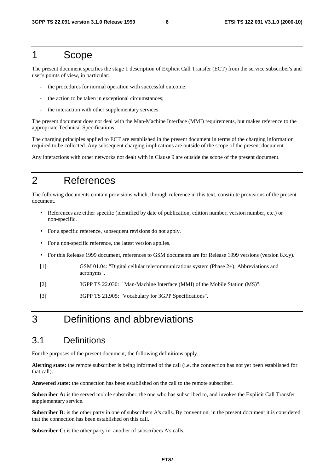#### 1 Scope

The present document specifies the stage 1 description of Explicit Call Transfer (ECT) from the service subscriber's and user's points of view, in particular:

- the procedures for normal operation with successful outcome;
- the action to be taken in exceptional circumstances;
- the interaction with other supplementary services.

The present document does not deal with the Man-Machine Interface (MMI) requirements, but makes reference to the appropriate Technical Specifications.

The charging principles applied to ECT are established in the present document in terms of the charging information required to be collected. Any subsequent charging implications are outside of the scope of the present document.

Any interactions with other networks not dealt with in Clause 9 are outside the scope of the present document.

#### 2 References

The following documents contain provisions which, through reference in this text, constitute provisions of the present document.

- References are either specific (identified by date of publication, edition number, version number, etc.) or non-specific.
- For a specific reference, subsequent revisions do not apply.
- For a non-specific reference, the latest version applies.
- For this Release 1999 document, references to GSM documents are for Release 1999 versions (version 8.x.y).
- [1] GSM 01.04: "Digital cellular telecommunications system (Phase 2+); Abbreviations and acronyms".
- [2] 3GPP TS 22.030: " Man-Machine Interface (MMI) of the Mobile Station (MS)".
- [3] 3GPP TS 21.905: "Vocabulary for 3GPP Specifications".

## 3 Definitions and abbreviations

#### 3.1 Definitions

For the purposes of the present document, the following definitions apply.

**Alerting state:** the remote subscriber is being informed of the call (i.e. the connection has not yet been established for that call).

**Answered state:** the connection has been established on the call to the remote subscriber.

**Subscriber A:** is the served mobile subscriber, the one who has subscribed to, and invokes the Explicit Call Transfer supplementary service.

**Subscriber B:** is the other party in one of subscribers A's calls. By convention, in the present document it is considered that the connection has been established on this call.

**Subscriber C:** is the other party in another of subscribers A's calls.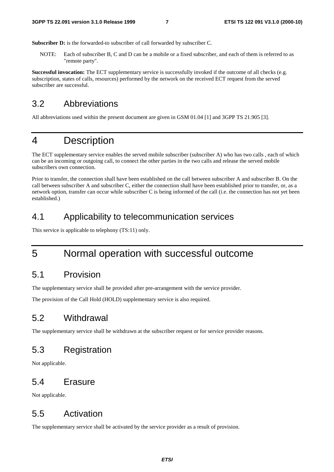Subscriber D: is the forwarded-to subscriber of call forwarded by subscriber C.

NOTE: Each of subscriber B, C and D can be a mobile or a fixed subscriber, and each of them is referred to as "remote party".

**Successful invocation:** The ECT supplementary service is successfully invoked if the outcome of all checks (e.g. subscription, states of calls, resources) performed by the network on the received ECT request from the served subscriber are successful.

#### 3.2 Abbreviations

All abbreviations used within the present document are given in GSM 01.04 [1] and 3GPP TS 21.905 [3].

#### 4 Description

The ECT supplementary service enables the served mobile subscriber (subscriber A) who has two calls , each of which can be an incoming or outgoing call, to connect the other parties in the two calls and release the served mobile subscribers own connection.

Prior to transfer, the connection shall have been established on the call between subscriber A and subscriber B. On the call between subscriber A and subscriber C, either the connection shall have been established prior to transfer, or, as a network option, transfer can occur while subscriber C is being informed of the call (i.e. the connection has not yet been established.)

#### 4.1 Applicability to telecommunication services

This service is applicable to telephony (TS:11) only.

## 5 Normal operation with successful outcome

#### 5.1 Provision

The supplementary service shall be provided after pre-arrangement with the service provider.

The provision of the Call Hold (HOLD) supplementary service is also required.

#### 5.2 Withdrawal

The supplementary service shall be withdrawn at the subscriber request or for service provider reasons.

#### 5.3 Registration

Not applicable.

#### 5.4 Erasure

Not applicable.

#### 5.5 Activation

The supplementary service shall be activated by the service provider as a result of provision.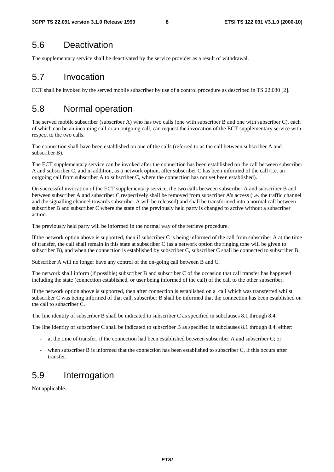#### 5.6 Deactivation

The supplementary service shall be deactivated by the service provider as a result of withdrawal.

#### 5.7 Invocation

ECT shall be invoked by the served mobile subscriber by use of a control procedure as described in TS 22.030 [2].

#### 5.8 Normal operation

The served mobile subscriber (subscriber A) who has two calls (one with subscriber B and one with subscriber C), each of which can be an incoming call or an outgoing call, can request the invocation of the ECT supplementary service with respect to the two calls.

The connection shall have been established on one of the calls (referred to as the call between subscriber A and subscriber B).

The ECT supplementary service can be invoked after the connection has been established on the call between subscriber A and subscriber C, and in addition, as a network option, after subscriber C has been informed of the call (i.e. an outgoing call from subscriber A to subscriber C, where the connection has not yet been established).

On successful invocation of the ECT supplementary service, the two calls between subscriber A and subscriber B and between subscriber A and subscriber C respectively shall be removed from subscriber A's access (i.e. the traffic channel and the signalling channel towards subscriber A will be released) and shall be transformed into a normal call between subscriber B and subscriber C where the state of the previously held party is changed to active without a subscriber action.

The previously held party will be informed in the normal way of the retrieve procedure.

If the network option above is supported, then if subscriber C is being informed of the call from subscriber A at the time of transfer, the call shall remain in this state at subscriber C (as a network option the ringing tone will be given to subscriber B), and when the connection is established by subscriber C, subscriber C shall be connected to subscriber B.

Subscriber A will no longer have any control of the on-going call between B and C.

The network shall inform (if possible) subscriber B and subscriber C of the occasion that call transfer has happened including the state (connection established, or user being informed of the call) of the call to the other subscriber.

If the network option above is supported, then after connection is established on a call which was transferred whilst subscriber C was being informed of that call, subscriber B shall be informed that the connection has been established on the call to subscriber C.

The line identity of subscriber B shall be indicated to subscriber C as specified in subclauses 8.1 through 8.4.

The line identity of subscriber C shall be indicated to subscriber B as specified in subclauses 8.1 through 8.4, either:

- at the time of transfer, if the connection had been established between subscriber A and subscriber C; or
- when subscriber B is informed that the connection has been established to subscriber C, if this occurs after transfer.

#### 5.9 Interrogation

Not applicable.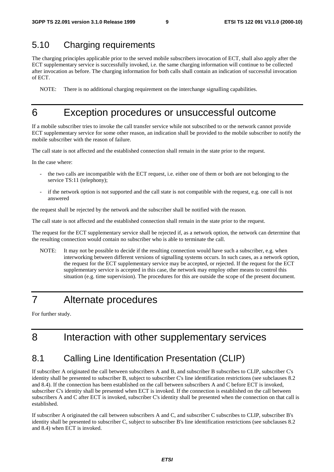#### 5.10 Charging requirements

The charging principles applicable prior to the served mobile subscribers invocation of ECT, shall also apply after the ECT supplementary service is successfully invoked, i.e. the same charging information will continue to be collected after invocation as before. The charging information for both calls shall contain an indication of successful invocation of ECT.

NOTE: There is no additional charging requirement on the interchange signalling capabilities.

#### 6 Exception procedures or unsuccessful outcome

If a mobile subscriber tries to invoke the call transfer service while not subscribed to or the network cannot provide ECT supplementary service for some other reason, an indication shall be provided to the mobile subscriber to notify the mobile subscriber with the reason of failure.

The call state is not affected and the established connection shall remain in the state prior to the request.

In the case where:

- the two calls are incompatible with the ECT request, i.e. either one of them or both are not belonging to the service TS:11 (telephony);
- if the network option is not supported and the call state is not compatible with the request, e.g. one call is not answered

the request shall be rejected by the network and the subscriber shall be notified with the reason.

The call state is not affected and the established connection shall remain in the state prior to the request.

The request for the ECT supplementary service shall be rejected if, as a network option, the network can determine that the resulting connection would contain no subscriber who is able to terminate the call.

NOTE: It may not be possible to decide if the resulting connection would have such a subscriber, e.g. when interworking between different versions of signalling systems occurs. In such cases, as a network option, the request for the ECT supplementary service may be accepted, or rejected. If the request for the ECT supplementary service is accepted in this case, the network may employ other means to control this situation (e.g. time supervision). The procedures for this are outside the scope of the present document.

#### 7 Alternate procedures

For further study.

## 8 Interaction with other supplementary services

#### 8.1 Calling Line Identification Presentation (CLIP)

If subscriber A originated the call between subscribers A and B, and subscriber B subscribes to CLIP, subscriber C's identity shall be presented to subscriber B, subject to subscriber C's line identification restrictions (see subclauses 8.2 and 8.4). If the connection has been established on the call between subscribers A and C before ECT is invoked, subscriber C's identity shall be presented when ECT is invoked. If the connection is established on the call between subscribers A and C after ECT is invoked, subscriber C's identity shall be presented when the connection on that call is established.

If subscriber A originated the call between subscribers A and C, and subscriber C subscribes to CLIP, subscriber B's identity shall be presented to subscriber C, subject to subscriber B's line identification restrictions (see subclauses 8.2 and 8.4) when ECT is invoked.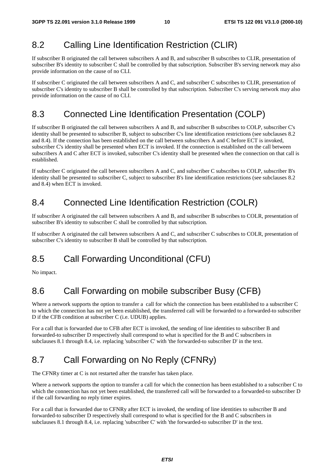#### 8.2 Calling Line Identification Restriction (CLIR)

If subscriber B originated the call between subscribers A and B, and subscriber B subscribes to CLIR, presentation of subscriber B's identity to subscriber C shall be controlled by that subscription. Subscriber B's serving network may also provide information on the cause of no CLI.

If subscriber C originated the call between subscribers A and C, and subscriber C subscribes to CLIR, presentation of subscriber C's identity to subscriber B shall be controlled by that subscription. Subscriber C's serving network may also provide information on the cause of no CLI.

#### 8.3 Connected Line Identification Presentation (COLP)

If subscriber B originated the call between subscribers A and B, and subscriber B subscribes to COLP, subscriber C's identity shall be presented to subscriber B, subject to subscriber C's line identification restrictions (see subclauses 8.2 and 8.4). If the connection has been established on the call between subscribers A and C before ECT is invoked, subscriber C's identity shall be presented when ECT is invoked. If the connection is established on the call between subscribers A and C after ECT is invoked, subscriber C's identity shall be presented when the connection on that call is established.

If subscriber C originated the call between subscribers A and C, and subscriber C subscribes to COLP, subscriber B's identity shall be presented to subscriber C, subject to subscriber B's line identification restrictions (see subclauses 8.2 and 8.4) when ECT is invoked.

#### 8.4 Connected Line Identification Restriction (COLR)

If subscriber A originated the call between subscribers A and B, and subscriber B subscribes to COLR, presentation of subscriber B's identity to subscriber C shall be controlled by that subscription.

If subscriber A originated the call between subscribers A and C, and subscriber C subscribes to COLR, presentation of subscriber C's identity to subscriber B shall be controlled by that subscription.

## 8.5 Call Forwarding Unconditional (CFU)

No impact.

## 8.6 Call Forwarding on mobile subscriber Busy (CFB)

Where a network supports the option to transfer a call for which the connection has been established to a subscriber C to which the connection has not yet been established, the transferred call will be forwarded to a forwarded-to subscriber D if the CFB condition at subscriber C (i.e. UDUB) applies.

For a call that is forwarded due to CFB after ECT is invoked, the sending of line identities to subscriber B and forwarded-to subscriber D respectively shall correspond to what is specified for the B and C subscribers in subclauses 8.1 through 8.4, i.e. replacing 'subscriber C' with 'the forwarded-to subscriber D' in the text.

## 8.7 Call Forwarding on No Reply (CFNRy)

The CFNRy timer at C is not restarted after the transfer has taken place.

Where a network supports the option to transfer a call for which the connection has been established to a subscriber C to which the connection has not yet been established, the transferred call will be forwarded to a forwarded-to subscriber D if the call forwarding no reply timer expires.

For a call that is forwarded due to CFNRy after ECT is invoked, the sending of line identities to subscriber B and forwarded-to subscriber D respectively shall correspond to what is specified for the B and C subscribers in subclauses 8.1 through 8.4, i.e. replacing 'subscriber C' with 'the forwarded-to subscriber D' in the text.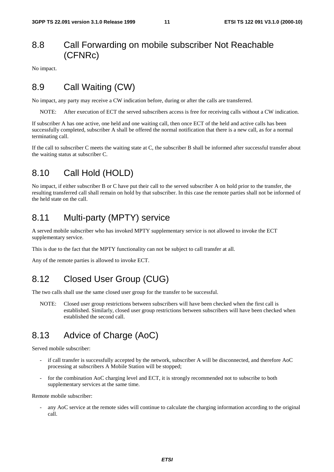#### 8.8 Call Forwarding on mobile subscriber Not Reachable (CFNRc)

No impact.

#### 8.9 Call Waiting (CW)

No impact, any party may receive a CW indication before, during or after the calls are transferred.

NOTE: After execution of ECT the served subscribers access is free for receiving calls without a CW indication.

If subscriber A has one active, one held and one waiting call, then once ECT of the held and active calls has been successfully completed, subscriber A shall be offered the normal notification that there is a new call, as for a normal terminating call.

If the call to subscriber C meets the waiting state at C, the subscriber B shall be informed after successful transfer about the waiting status at subscriber C.

#### 8.10 Call Hold (HOLD)

No impact, if either subscriber B or C have put their call to the served subscriber A on hold prior to the transfer, the resulting transferred call shall remain on hold by that subscriber. In this case the remote parties shall not be informed of the held state on the call.

#### 8.11 Multi-party (MPTY) service

A served mobile subscriber who has invoked MPTY supplementary service is not allowed to invoke the ECT supplementary service.

This is due to the fact that the MPTY functionality can not be subject to call transfer at all.

Any of the remote parties is allowed to invoke ECT.

#### 8.12 Closed User Group (CUG)

The two calls shall use the same closed user group for the transfer to be successful.

NOTE: Closed user group restrictions between subscribers will have been checked when the first call is established. Similarly, closed user group restrictions between subscribers will have been checked when established the second call.

#### 8.13 Advice of Charge (AoC)

Served mobile subscriber:

- if call transfer is successfully accepted by the network, subscriber A will be disconnected, and therefore AoC processing at subscribers A Mobile Station will be stopped;
- for the combination AoC charging level and ECT, it is strongly recommended not to subscribe to both supplementary services at the same time.

Remote mobile subscriber:

any AoC service at the remote sides will continue to calculate the charging information according to the original call.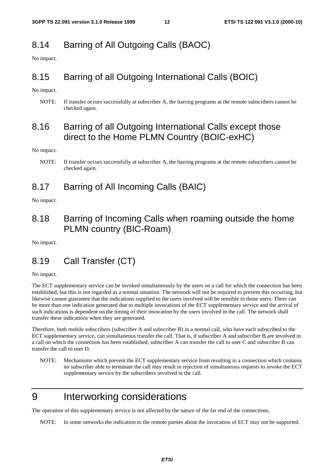#### 8.14 Barring of All Outgoing Calls (BAOC)

No impact.

#### 8.15 Barring of all Outgoing International Calls (BOIC)

No impact.

NOTE: If transfer occurs successfully at subscriber A, the barring programs at the remote subscribers cannot be checked again.

#### 8.16 Barring of all Outgoing International Calls except those direct to the Home PLMN Country (BOIC-exHC)

No impact.

#### 8.17 Barring of All Incoming Calls (BAIC)

No impact.

#### 8.18 Barring of Incoming Calls when roaming outside the home PLMN country (BIC-Roam)

No impact.

#### 8.19 Call Transfer (CT)

No impact.

The ECT supplementary service can be invoked simultaneously by the users on a call for which the connection has been established, but this is not regarded as a normal situation. The network will not be required to prevent this occurring, but likewise cannot guarantee that the indications supplied to the users involved will be sensible to those users. There can be more than one indication generated due to multiple invocations of the ECT supplementary service and the arrival of such indications is dependent on the timing of their invocation by the users involved in the call. The network shall transfer these indications when they are generated.

Therefore, both mobile subscribers (subscriber A and subscriber B) in a normal call, who have each subscribed to the ECT supplementary service, can simultaneous transfer the call. That is, if subscriber A and subscriber B are involved in a call on which the connection has been established, subscriber A can transfer the call to user C and subscriber B can transfer the call to user D.

NOTE: Mechanisms which prevent the ECT supplementary service from resulting in a connection which contains no subscriber able to terminate the call may result in rejection of simultaneous requests to invoke the ECT supplementary service by the subscribers involved in the call.

## 9 Interworking considerations

The operation of this supplementary service is not affected by the nature of the far end of the connections.

NOTE: In some networks the indication to the remote parties about the invocation of ECT may not be supported.

NOTE: If transfer occurs successfully at subscriber A, the barring programs at the remote subscribers cannot be checked again.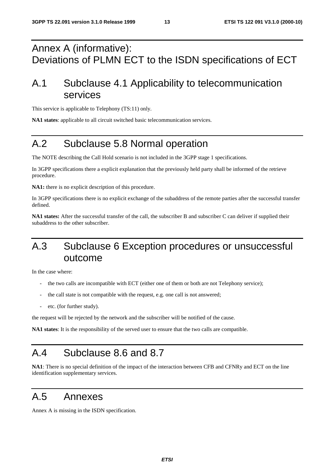## Annex A (informative): Deviations of PLMN ECT to the ISDN specifications of ECT

## A.1 Subclause 4.1 Applicability to telecommunication services

This service is applicable to Telephony (TS:11) only.

**NA1 states**: applicable to all circuit switched basic telecommunication services.

## A.2 Subclause 5.8 Normal operation

The NOTE describing the Call Hold scenario is not included in the 3GPP stage 1 specifications.

In 3GPP specifications there a explicit explanation that the previously held party shall be informed of the retrieve procedure.

**NA1:** there is no explicit description of this procedure.

In 3GPP specifications there is no explicit exchange of the subaddress of the remote parties after the successful transfer defined.

**NA1 states:** After the successful transfer of the call, the subscriber B and subscriber C can deliver if supplied their subaddress to the other subscriber.

## A.3 Subclause 6 Exception procedures or unsuccessful outcome

In the case where:

- the two calls are incompatible with ECT (either one of them or both are not Telephony service);
- the call state is not compatible with the request, e.g. one call is not answered;
- etc. (for further study).

the request will be rejected by the network and the subscriber will be notified of the cause.

**NA1 states**: It is the responsibility of the served user to ensure that the two calls are compatible.

## A.4 Subclause 8.6 and 8.7

**NA1**: There is no special definition of the impact of the interaction between CFB and CFNRy and ECT on the line identification supplementary services.

## A.5 Annexes

Annex A is missing in the ISDN specification.

**ETSI**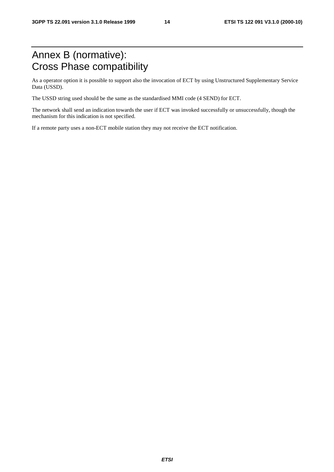## Annex B (normative): Cross Phase compatibility

As a operator option it is possible to support also the invocation of ECT by using Unstructured Supplementary Service Data (USSD).

The USSD string used should be the same as the standardised MMI code (4 SEND) for ECT.

The network shall send an indication towards the user if ECT was invoked successfully or unsuccessfully, though the mechanism for this indication is not specified.

If a remote party uses a non-ECT mobile station they may not receive the ECT notification.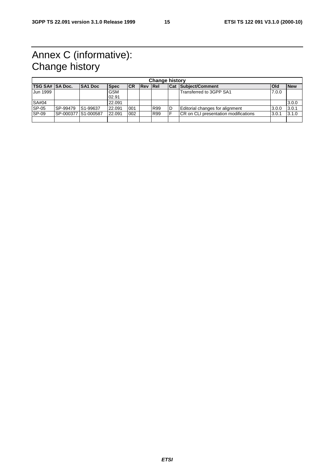# Annex C (informative): Change history

| <b>Change history</b> |                     |                |             |            |                |            |   |                                       |              |            |
|-----------------------|---------------------|----------------|-------------|------------|----------------|------------|---|---------------------------------------|--------------|------------|
| TSG SA# SA Doc.       |                     | <b>SA1 Doc</b> | <b>Spec</b> | <b>ICR</b> | <b>Rev Rel</b> |            |   | <b>Cat Subiect/Comment</b>            | <b>l</b> Old | <b>New</b> |
| Jun 1999              |                     |                | <b>GSM</b>  |            |                |            |   | Transferred to 3GPP SA1               | 7.0.0        |            |
|                       |                     |                | 02.91       |            |                |            |   |                                       |              |            |
| SA#04                 |                     |                | 22.091      |            |                |            |   |                                       |              | 3.0.0      |
| SP-05                 | SP-99479            | IS1-99637      | 22.091      | 001        |                | R99        | D | Editorial changes for alignment       | 3.0.0        | 3.0.1      |
| $SP-09$               | SP-000377 S1-000587 |                | 22.091      | 002        |                | <b>R99</b> |   | ICR on CLI presentation modifications | 3.0.1        | 3.1.0      |
|                       |                     |                |             |            |                |            |   |                                       |              |            |